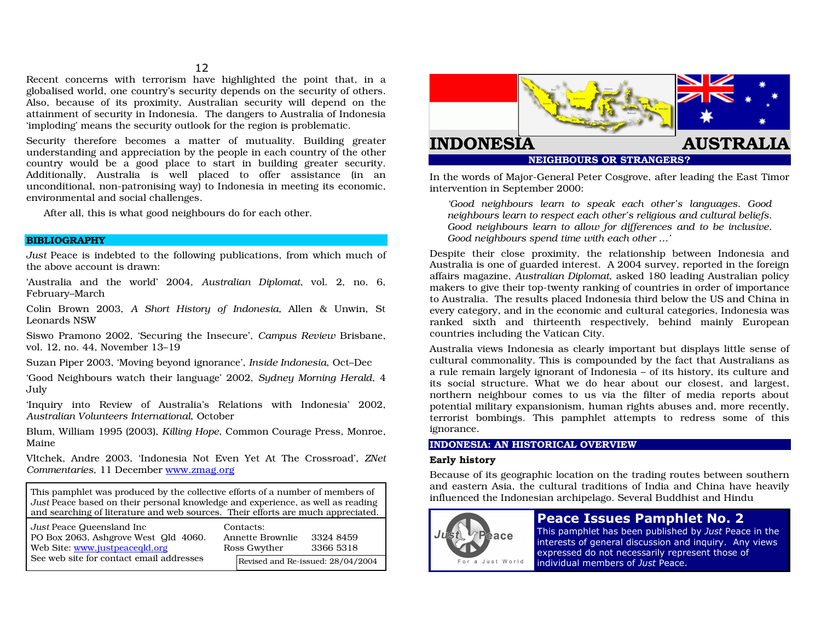#### $12$

Recent concerns with terrorism have highlighted the point that, in a globalised world, one country's security depends on the security of others. Also, because of its proximity, Australian security will depend on the attainment of security in Indonesia. The dangers to Australia of Indonesia 'imploding' means the security outlook for the region is problematic.

Security therefore becomes a matter of mutuality. Building greater understanding and appreciation by the people in each country of the other country would be a good place to start in building greater security. Additionally, Australia is well placed to offer assistance (in an unconditional, non-patronising way) to Indonesia in meeting its economic, environmental and social challenges.

After all, this is what good neighbours do for each other.

#### **BIBLIOGRAPHY**

Just Peace is indebted to the following publications, from which much of the above account is drawn:

'Australia and the world' 2004, Australian Diplomat, vol. 2, no. 6, February-March

Colin Brown 2003, A Short History of Indonesia, Allen & Unwin, St Leonards NSW

Siswo Pramono 2002, 'Securing the Insecure', Campus Review Brisbane, vol. 12, no. 44, November 13-19

Suzan Piper 2003, 'Moving beyond ignorance', Inside Indonesia, Oct-Dec

'Good Neighbours watch their language' 2002. Sudney Morning Herald, 4 July

'Inquiry into Review of Australia's Relations with Indonesia' 2002, Australian Volunteers International, October

Blum, William 1995 (2003), Killing Hope, Common Courage Press, Monroe, Maine

Vltchek, Andre 2003, 'Indonesia Not Even Yet At The Crossroad', ZNet Commentaries, 11 December www.zmag.org

This pamphlet was produced by the collective efforts of a number of members of Just Peace based on their personal knowledge and experience, as well as reading and searching of literature and web sources. Their efforts are much appreciated.

| Just Peace Queensland Inc<br>PO Box 2063, Ashgrove West Qld 4060.<br>Web Site: www.justpeacegld.org | Contacts:<br>Annette Brownlie<br>Ross Gwyther | 3324 8459<br>3366 5318            |  |
|-----------------------------------------------------------------------------------------------------|-----------------------------------------------|-----------------------------------|--|
|                                                                                                     |                                               |                                   |  |
| See web site for contact email addresses                                                            |                                               | Revised and Re-issued: 28/04/2004 |  |



**NEIGHBOURS OR STRANGERS?** 

In the words of Major-General Peter Cosgrove, after leading the East Timor intervention in September 2000:

'Good neighbours learn to speak each other's languages. Good neighbours learn to respect each other's religious and cultural beliefs. Good neighbours learn to allow for differences and to be inclusive. Good neighbours spend time with each other ...'

Despite their close proximity, the relationship between Indonesia and Australia is one of guarded interest. A 2004 survey, reported in the foreign affairs magazine, Australian Diplomat, asked 180 leading Australian policy makers to give their top-twenty ranking of countries in order of importance to Australia. The results placed Indonesia third below the US and China in every category, and in the economic and cultural categories, Indonesia was ranked sixth and thirteenth respectively, behind mainly European countries including the Vatican City.

Australia views Indonesia as clearly important but displays little sense of cultural commonality. This is compounded by the fact that Australians as a rule remain largely ignorant of Indonesia - of its history, its culture and its social structure. What we do hear about our closest, and largest, northern neighbour comes to us via the filter of media reports about potential military expansionism, human rights abuses and, more recently, terrorist bombings. This pamphlet attempts to redress some of this ignorance.

## **INDONESIA: AN HISTORICAL OVERVIEW**

### **Early history**

Because of its geographic location on the trading routes between southern and eastern Asia, the cultural traditions of India and China have heavily influenced the Indonesian archipelago. Several Buddhist and Hindu



# **Peace Issues Pamphlet No. 2**

This pamphlet has been published by Just Peace in the interests of general discussion and inquiry. Any views expressed do not necessarily represent those of individual members of Just Peace.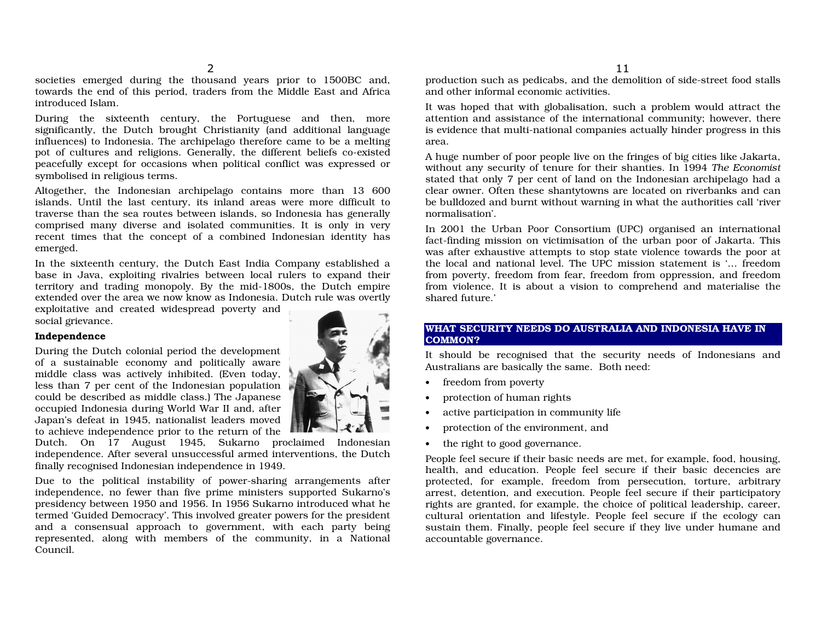societies emerged during the thousand years prior to 1500BC and, towards the end of this period, traders from the Middle East and Africa introduced Isla m.

During the sixteenth century, the P ortug uese and then, <sup>m</sup> oresignificantly, the Dutch brought Christianity (and additional language influences) to In donesia. The archipela g o therefore came tobe amelting p ot of cultures and religio ns. Generally, the different beliefs co-existed peacefully except for occasions when political conflict was expressed or sy mbolised in religio us terms.

Altogether, the Indonesian archipelago contains more than 13 600 islands. Until the last century, its inla ndareas were more difficult totraverse than the sea routes between islands, so Indonesia has generally co mprised ma ny diverse a n d isolated co mmu nities. It is o nly in very recent times th at the co ncept of <sup>a</sup> co mbined In d o nesia n identity h as emerged.

In the sixteenth century, the Dutch East India Company established a base in Java, exploiting rivalries between local rulers to expand their territory and tra ding monop oly. B y the mid-18 00s, the D utch empire extended over the area we now know as Indonesia. Dutch rule was overtly

ex ploitative <sup>a</sup> n d created widesprea d p o verty a n d social griev a nce.

#### Independence

During the Dutch colonial period the development of a sustainable economy and politically aware middle class <sup>w</sup>as actively in hibited. (Even to day, less than 7 per cent of the Indonesian population co uld be described as mid dle class.) The J a p a nese occu pied In d o nesia d urin g World War II <sup>a</sup> n d, after Japan's defeat in 1945, nationalist leaders moved to achieve indepen dence prior to the return of the



Dutch. On 17 August 1945, Sukarno proclaimed Indonesian independence. After several unsuccessful armed interventions, the Dutch finally reco g nised Indonesian in depen dence in 19 49.

Due to the p olitical instability of p o wer-sh arin g arra n gements after independence, no fewer than five prime ministers supported Sukarno's presidency between 1950 and 1956. In 1956 Sukarno introduced what he termed 'Guided Democracy'. This involved greater powers for the president and a consensual approach to government, with each party being represented, along with members of the community, in a National Council.

pro duction such as pedicabs, <sup>a</sup> nd the demolitionof side-street food stalls and other informal economic activities.

It was hoped th at withglo balisation, such apro blemwouldattract theattention and assistance of the international community; however, there is evidence that multi-national comp anies actually hinder pro gress in this area.

A huge number of poor people live on the fringes of big cities like Jakarta, without any security of tenure for their shanties. In 19 94*TheEconomist* stated that only 7 per cent of land on the Indonesian archipelago had a clear owner. Often these sh antyto wns are locatedon riverb anks and ca nbe bulldozed and burnt without warning in what the authorities call 'river normalisation'.

In 2001 the Urban Poor Consortium (UPC) organised an international fact-finding mission on victimisation of the urban poor of Jakarta. This was after exhaustive attempts to stop state violence towards the poor at the local and national level. The UPC mission statement is '... freedom from poverty, freedom from fear, freedom from oppression, and freedom from violence. It is about a vision to comprehend and materialise the shared future.'

## WHAT SECURITY NEEDS DO AUSTRALIA AND INDONESIA HAVE IN C O MMO N ?

It should be recognised that the security needs of Indonesians and Australians are basically the same. Both need:

- •• freedom from poverty
- •• protection of human rights
- •• active participation in community life
- •• protection of the environment, and
- • $\bullet$  the right to good governance.

People feel secure if their b asic needs are met, for ex ample, fo od, h ousing, health, <sup>a</sup> nd ed ucation. People feel secure if their b asic decencies are protected, for ex ample, freed om fro mpersecutio n, torture, arbitrary arrest, detention, and execution. People feel secure if their participatory rights are granted, for example, the choice of political leadership, career, cultural orientation and lifestyle. People feel secure if the ecology can sustain them. Finally, people feel secure if they live under humane and accountable g overnance.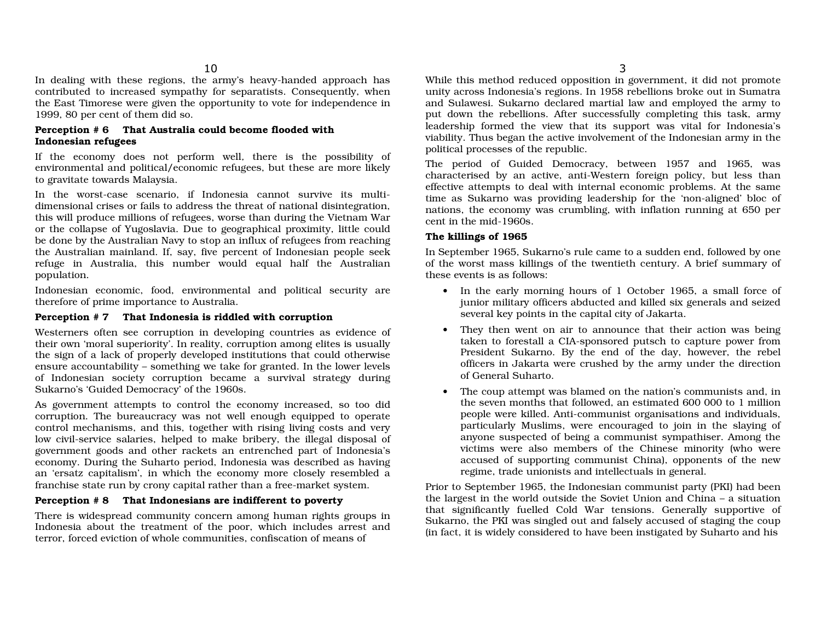In dealing with these regions, the army's heavy-handed approach has contributed to increased sympathy for separatists. Consequently, when the East Timorese were given the opportunity to vote for independence in 19 9 9, 8 0 per cent of them did so.

## Perception # 6 That Australia could become flooded with Indonesian refug ees

If the eco n o my d oes n ot perform well*,* there is the p ossibility of environmental and political/economic refugees, but these are more likely to gravitate towards Malaysia.

In the <sup>w</sup> orst-case scen ario, if In d o nesia ca n n ot survive its <sup>m</sup>ultidimensional crises or fails to address the threat of national disintegration, this will produce millions of refugees, worse than during the Vietnam War or the collapse of Yugoslavia. Due to geographical proximity, little could be done by the Australian Navy to stop an influx of refugees from reaching the Australian mainland. If, say, five percent of Indonesian people seek refuge in Australia, this number would equal half the Australian p o p ulatio n.

Indonesian eco nomic, fo od, enviro nmental andp olitical security aretherefore of prime importance to Australia.

## Perception # 7 That Indonesia is riddled with corruption

Westerners often see corru ptio n in develo pin g co u ntries as evidence of their own 'moral superiority'. In reality, corru ptio namong elites is usu ally the sig n of a lack of pro perly develo ped institutio ns th at co uld otherwise ensure accountability – something we take for granted. In the lower levels of Indo nesia n society corru ptio nbeca me a surviv al strategy d urin g Sukarno's 'Guided Democracy' of the 1960s.

As g o vern ment attempts to co ntrol the eco n o my increased, so to o did corruptio n. The bureaucracy was not well enoug h eq uip ped to operate control mechanisms, and this, together with rising living costs and very low civil-service salaries, helped to make bribery, the illeg al disp osal of government goods and other rackets an entrenched part of Indonesia's economy. During the Suharto period, Indonesia was described as having an 'ersatz capitalism', in which the economy more closely resembled a franchise state run by crony capital rather than a free-market system.

## Perception # 8 That Indonesians are indifferent to poverty

There is widesprea d co mmunity co ncerna mo ng huma n rig hts gro ups in Indonesia about the treatment of the poor, which includes arrest and terror, forced evictio nof whole communities, co nfiscationof means of

While this method reduced opposition in government, it did not promote unity across Indonesia's regions. In 1958 rebellions broke out in Sumatra and Sulawesi. Sukarno declared martial law and employed the army to put down the rebellions. After successfully completing this task, army leadership formed the view that its support was vital for Indonesia's viability. Thus began the active involvement of the Indonesian army in the p olitical processes of the rep u blic.

The perio d of G uided Dem ocracy, between 19 5 7 a n d 19 6 5, <sup>w</sup> as characterised by an active, anti-Western foreign policy, but less than effective attempts to deal with internal economic problems. At the same time as Sukarno was providing leadership for the 'non-aligned' bloc of nations, the economy was crumbling, with inflation running at 650 per cent in the mid-19 60s.

## Th e killin gs of 19 6 5

In September 1965, Sukarno's rule came to a sudden end, followed by one of the worst mass killings of the twentieth century. A brief summary of these events is as follows:

- In the early morning hours of 1 October 1965, a small force of junior military officers abducted and killed six generals and seized several key p oints in the ca pital city of J a k arta.
- They then went on air to announce that their action was being ta ken to forestall <sup>a</sup> CIA-sp o nsored p utsch to ca pture p o wer fro mPresident Sukarno. By the end of the day, however, the rebel officers in Jakarta were crushed by the army under the direction of General Suharto.
- $\bullet$ • The coup attempt was blamed on the nation's communists and, in the seven months that followed, an estimated 600 000 to 1 million peo ple were killed. Anti-co mmunist org anisations and individuals, p articularly Muslims, were enco uraged to join in the slayin g of any one suspected of being a co mmunist sy mp athiser. Among the victims were also members of the Chinese minority (w ho were accused of supporting communist China), opponents of the new regime, tra de u nio nists a n d intellectu als in general.

Prior to September 1965, the Indonesian communist party (PKI) had been the largest in the world outside the Soviet Union and China  $-$  a situation that sig nificantly fuelled ColdWar tensions. Generally su p p ortive of Sukarno, the P KI was singled out and falsely accusedof stagin g the co up (in fact, it is widely co nsidered to have been instig atedby Suharto andhis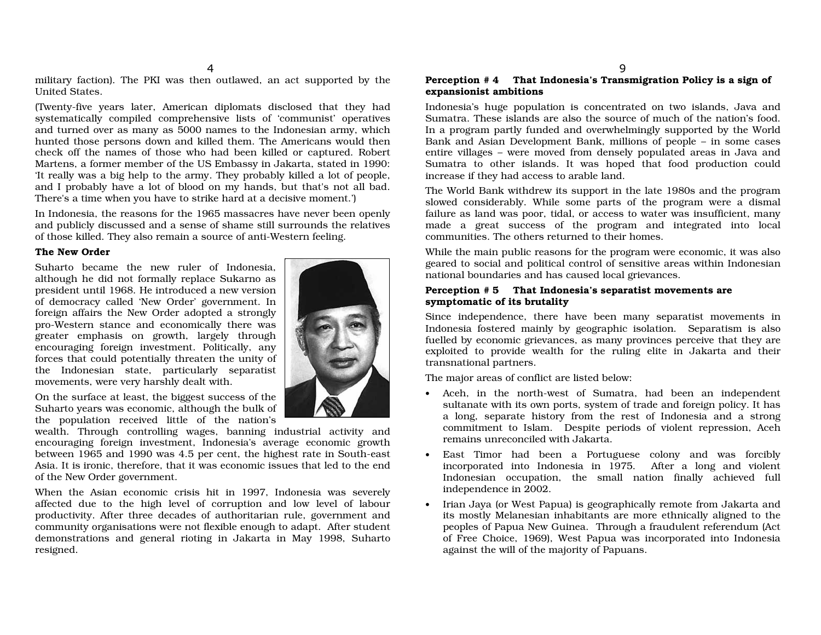military faction). The PKI was then outlawed, an act supported by the United States.

(Twenty-five years later, American diplomats disclosed that they had system atically co mpiled co mprehensive lists of 'co mmunist' operatives and turned over as many as 5000 names to the Indonesian army, which h u nted th ose perso ns d o wn a n d killed them. The America ns wo uld then check off the names of those who had been killed or captured. Robert Martens, <sup>a</sup> former mem ber of the USEmbassy in Jakarta, stated in 19 90: 'It really was a big help to the army. They probably killed a lot of people, and I probably have a lot of blood on my hands, but that's not all bad. There's a time when you have to strike hard at a decisive moment.')

In In do nesia, the reaso ns for the 1965massacres have never beeno penly and publicly discussed and a sense of shame still surrounds the relatives of th ose killed. They also remain a so urce of <sup>a</sup> nti-Western feelin g.

#### The New Order

Suhartobecame the new ruler of In donesia, although he did not formally replace Sukarno as president <sup>u</sup> ntil 1968. He introducedanewversion of democracy called 'New Order' g overnment. Inforeign affairs the New Order adopted a strongly pro-Western sta nce and eco nomically there <sup>w</sup> asgreater emphasis on growth, largely through encouraging foreign investment. Politically, any forces th at co uld p otentially threaten the <sup>u</sup> nity of the Ind o nesia n state, p articularly sep aratist movements, were very harshly dealt with.

On the surface at least, the big gest success of the Suharto years was economic, although the bulk of the p op ulation received little of the <sup>n</sup> ation's

wealth. Through controlling wages, banning industrial activity and encouragin g foreig n investment, In donesia's average eco nomic gro wthbetween 1965 and 1990 was 4.5 per cent, the highest rate in South-east Asia. It is ironic, therefore, th at it <sup>w</sup>as economic issues that led to the endof the New Order government.

When the Asia n eco n o mic crisis hit in 19 9 7, In d o nesia w as severely affected due to the high level of corruption and low level of labour pro ductivity. After three deca des of <sup>a</sup> uthoritaria n rule, g o vernment a nd.<br>community organisations were not flexible enough to adapt. After student demonstrations and general rioting in Jakarta in May 1998, Suharto resig ned.

## Perception # 4 That Indonesia's Transmigration Policy is a sign of exp ansionist ambitions

Indonesia's huge population is concentrated on two islands, Java and Sumatra. These islands are also the source of much of the nation's food. In a program partly funded and overwhelmingly supported by the World Bank and Asian Development Bank, millions of people – in some cases entire villages - were moved from densely populated areas in Java and Sumatra to other islands. It was hoped that food production could increase if they hadaccess toarable land.

The World Bank withdrew its support in the late 1980s and the program slowed considerably. While some parts of the program were a dismal failure as land was poor, tidal, or access to water was insufficient, many ma de a great success of the pro gra ma n d integrated into local communities. The others returned to their homes.

While the main public reasons for the program were economic, it was also geared to social and political control of sensitive areas within Indonesian national boundaries and has caused local grievances.

### Perception # 5 That Indonesia's separatist movements are sy mpto maticof its brutality

Since in depen dence, there h ave been ma ny sep aratist mo vements in Indonesia fostered mainly by geographic isolation. Separatism is also fuelled by economic grievances, as many provinces perceive that they are exploited to provide wealth for the ruling elite in Jakarta and their transnational p artners.

The m ajor areas of co nflict are listed belo w:

- Aceh, in the north-west of Sumatra, had been an independent sultanate with its own ports, system of trade and foreign policy. It has a long, separate history from the rest of Indonesia and a strong commitment to Islam. Despite perio ds of violent repressio n, Aceh remains unreconciled with Jakarta.
- E ast Timor h a d been a P ortu g uese colo ny a n d w as forcibly incorporated into Indonesia in 1975. After a long and violent Indonesian occupation, the small nation finally achieved full indepen dence in2002.
- $\bullet$   $\;$  Irian Jaya (or West Papua) is geographically remote from Jakarta and its mostly Melanesian in habitants are more ethnically alig ned to the peoples of Papua New Guinea. Through a fraudulent referendum (Act of Free C h oice, 19 6 9), West P a p u a was incorp orated into In d o nesia against the will of the majority of Papuans.

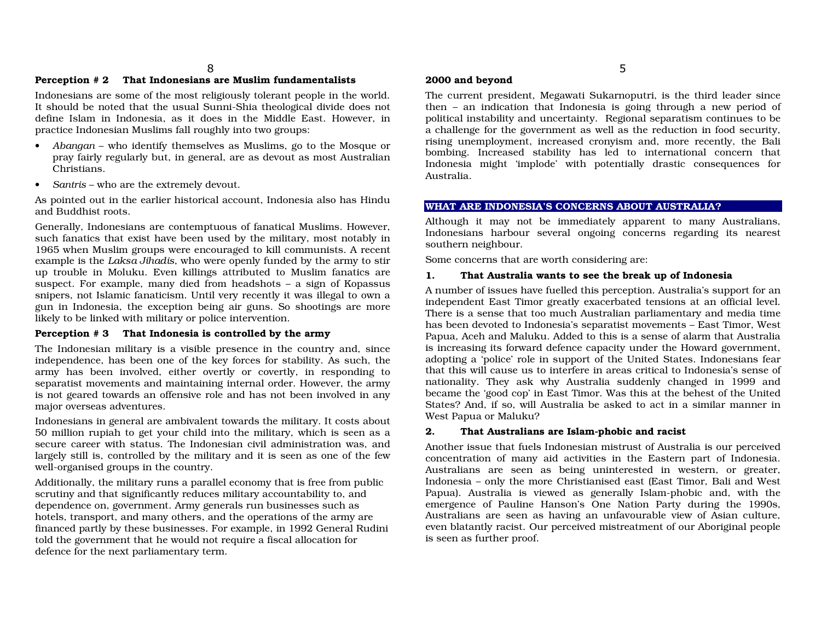## Perception # 2 That Indonesians are Muslim fundamentalists

Ind o nesia ns are so me of the <sup>m</sup>ost religio usly tolera nt peo ple in the <sup>w</sup> orld. It should be noted that the usual Sunni-Shia theological divide does not define Islam in In donesia, as it d oes in the Mid dle East. However, in practice Indonesian Muslims fall roughly into two groups:

- *Abangan* who identify themselves as Muslims, go to the Mosque or pray fairly regularly but, in general, are as devout as most Australian Christians.
- Santris who are the extremely devout.

As pointed out in the earlier historical account, Indonesia also has Hindu and Buddhist roots.

Generally, In d o nesia ns are co ntemptu o us of fa n atical Muslims. Ho wever, such fanatics that exist have been used by the military, most notably in 1965 when Muslim groups were encouraged to kill communists. A recent example is the *Laksa Jihadis*, who were openly funded by the army to stir up trouble in Moluku. Even killings attributed to Muslim fanatics are suspect. For example, many died from headshots – a sign of Kopassus snipers, not Islamic fanaticism. Until very recently it was illegal to own a gun in Indonesia, the exception being air guns. So shootings are more likely to be lin ked with military or p olice interventio n.

## Perception #3 That Indonesia is controlled by the army

The Indonesian military is a visible presence in the country and, since in depen dence, h as been o ne of the key forces for stability. As such, the army has been involved, either overtly or covertly, in responding to sep aratist mo vements andmaintaining intern al order. Ho wever, the army is n ot geared to wards a n offensive role <sup>a</sup> n d h as n ot been inv olved in a ny major <sup>o</sup> verseas adventures.

Indonesians in general are ambivalent towards the military. It costs about 5 0 millio n rupia h to get y o ur child into the military, which is seen as a secure career with status. The Indonesian civil administration was, and largely still is, controlled by the military and it is seen as one of the few well-organised groups in the country.

Additionally, the military ru ns ap arallel economy th at is free fromp ublic scrutiny and that significantly reduces military accountability to, and dependence on, government. Army generals run businesses such as hotels, transport, and many others, and the operations of the army are financed partly by these businesses. For example, in 1992 General Rudini told the government that he would not require a fiscal allocation for defence for the next p arlia mentary term.

## 2000 and beyond

The current president, Meg awati Suk arno p utri, is the third lea der since then – an indication that Indonesia is going through a new period of political instability and uncertainty. Regional separatism continues to be a challenge for the g overnment as well as the reduction in fo od security, risin g u nemplo y ment, increased cro nyism a n d, <sup>m</sup> ore recently, the B ali bombing. Increased stability has led to international concern th atIndonesia might 'implode' with potentially drastic consequences for Australia.

## WHAT ARE INDONESIA'S CONCERNS ABOUT AUSTRALIA?

Although it may not be immediately apparent to many Australians, Indonesians harbour several ongoing concerns regarding its nearest southern neighbour.

S o me co ncerns th at are w orth co nsiderin g are:

#### 1.. That Australia wants to see the break up of Indonesia

A n u mber of issues h ave fuelled this perceptio n. Australia's su p p ort for a n indepen dent East Timor greatly ex acerbated tensio ns at <sup>a</sup>nofficial level.There is a sense that too much Australian parliamentary and media time has been devoted to Indonesia's separatist movements – East Timor, West Pap ua, Aceh andMaluku. Added to this is <sup>a</sup> sense of alarm th at Australiais increasing its forward defence capacity under the Howard government, adopting a 'police' role in support of the United States. Indonesians fear that this will cause us to interfere in areas critical to Indonesia's sense of nationality. They ask why Australia suddenly changed in 1999 and became the 'g ood co p' in East Timor. Was this at the behest of the UnitedStates?And, if so, will Australia be asked to act ina similar <sup>m</sup>anner inWest Pap uaor Maluku?

#### 2.. That Australians are Islam-phobic and racist

Another issue that fuels Indonesian mistrust of Australia is our perceived concentration of many aid activities in the Eastern part of Indonesia. Australia ns are seen as bein g u ninterested in western, or greater, Indonesia – only the more Christianised east (East Timor, Bali and West Papua). Australia is viewed as generally Islam-phobic and, with the emergence of Pauline Hanson's One Nation Party during the 1990s, Australians are seen as having an unfavourable view of Asian culture, even blatantly racist. Our perceived mistreatment of our Aboriginal people is seen as further pro of.

\$